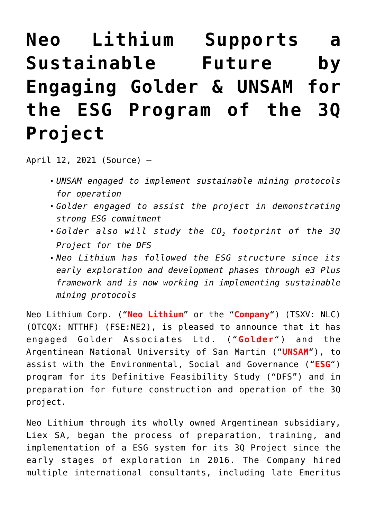# **[Neo Lithium Supports a](https://investorintel.com/markets/technology-metals/technology-metals-news/neo-lithium-supports-a-sustainable-future-by-engaging-golder-unsam-for-the-esg-program-of-the-3q-project/) [Sustainable Future by](https://investorintel.com/markets/technology-metals/technology-metals-news/neo-lithium-supports-a-sustainable-future-by-engaging-golder-unsam-for-the-esg-program-of-the-3q-project/) [Engaging Golder & UNSAM for](https://investorintel.com/markets/technology-metals/technology-metals-news/neo-lithium-supports-a-sustainable-future-by-engaging-golder-unsam-for-the-esg-program-of-the-3q-project/) [the ESG Program of the 3Q](https://investorintel.com/markets/technology-metals/technology-metals-news/neo-lithium-supports-a-sustainable-future-by-engaging-golder-unsam-for-the-esg-program-of-the-3q-project/) [Project](https://investorintel.com/markets/technology-metals/technology-metals-news/neo-lithium-supports-a-sustainable-future-by-engaging-golder-unsam-for-the-esg-program-of-the-3q-project/)**

April 12, 2021 ([Source](https://www.newswire.ca/news-releases/neo-lithium-supports-a-sustainable-future-by-engaging-golder-amp-unsam-for-the-esg-program-of-the-3q-project-800976531.html)) —

- *UNSAM engaged to implement sustainable mining protocols for operation*
- *Golder engaged to assist the project in demonstrating strong ESG commitment*
- *Golder also will study the CO2 footprint of the 3Q Project for the DFS*
- *Neo Lithium has followed the ESG structure since its early exploration and development phases through e3 Plus framework and is now working in implementing sustainable mining protocols*

Neo Lithium Corp. ("**Neo Lithium**" or the "**Company**") (TSXV: [NLC\)](https://www.newswire.ca/news-releases/neo-lithium-supports-a-sustainable-future-by-engaging-golder-amp-unsam-for-the-esg-program-of-the-3q-project-800976531.html#financial-modal) (OTCQX: NTTHF) (FSE:NE2), is pleased to announce that it has engaged Golder Associates Ltd. ("**Golder**") and the Argentinean National University of San Martin ("**UNSAM**"), to assist with the Environmental, Social and Governance ("**ESG**") program for its Definitive Feasibility Study ("DFS") and in preparation for future construction and operation of the 3Q project.

Neo Lithium through its wholly owned Argentinean subsidiary, Liex SA, began the process of preparation, training, and implementation of a ESG system for its 3Q Project since the early stages of exploration in 2016. The Company hired multiple international consultants, including late Emeritus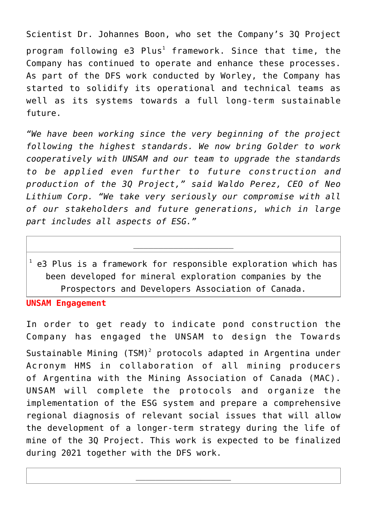Scientist Dr. Johannes Boon, who set the Company's 3Q Project program following e3  ${\sf Plus}^1$  framework. Since that time, the Company has continued to operate and enhance these processes. As part of the DFS work conducted by Worley, the Company has started to solidify its operational and technical teams as well as its systems towards a full long-term sustainable future.

*"We have been working since the very beginning of the project following the highest standards. We now bring Golder to work cooperatively with UNSAM and our team to upgrade the standards to be applied even further to future construction and production of the 3Q Project," said Waldo Perez, CEO of Neo Lithium Corp. "We take very seriously our compromise with all of our stakeholders and future generations, which in large part includes all aspects of ESG."* 

 $^1$  e3 Plus is a framework for responsible exploration which has been developed for mineral exploration companies by the Prospectors and Developers Association of Canada.

\_\_\_\_\_\_\_\_\_\_\_\_\_\_\_\_\_\_\_\_

**UNSAM Engagement**

In order to get ready to indicate pond construction the Company has engaged the UNSAM to design the Towards Sustainable Mining (TSM)<sup>2</sup> protocols adapted in Argentina under Acronym HMS in collaboration of all mining producers of Argentina with the Mining Association of Canada (MAC). UNSAM will complete the protocols and organize the implementation of the ESG system and prepare a comprehensive regional diagnosis of relevant social issues that will allow the development of a longer-term strategy during the life of mine of the 3Q Project. This work is expected to be finalized during 2021 together with the DFS work.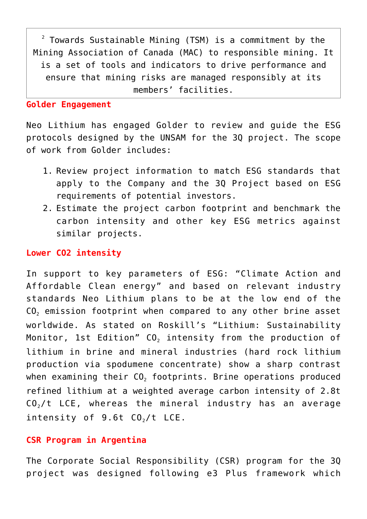$2$  Towards Sustainable Mining (TSM) is a commitment by the Mining Association of Canada (MAC) to responsible mining. It is a set of tools and indicators to drive performance and ensure that mining risks are managed responsibly at its members' facilities.

### **Golder Engagement**

Neo Lithium has engaged Golder to review and guide the ESG protocols designed by the UNSAM for the 3Q project. The scope of work from Golder includes:

- 1. Review project information to match ESG standards that apply to the Company and the 3Q Project based on ESG requirements of potential investors.
- 2. Estimate the project carbon footprint and benchmark the carbon intensity and other key ESG metrics against similar projects.

## **Lower CO2 intensity**

In support to key parameters of ESG: "Climate Action and Affordable Clean energy" and based on relevant industry standards Neo Lithium plans to be at the low end of the  $CO<sub>2</sub>$  emission footprint when compared to any other brine asset worldwide. As stated on Roskill's "Lithium: Sustainability Monitor, 1st Edition"  $CO<sub>2</sub>$  intensity from the production of lithium in brine and mineral industries (hard rock lithium production via spodumene concentrate) show a sharp contrast when examining their  $CO<sub>2</sub>$  footprints. Brine operations produced refined lithium at a weighted average carbon intensity of 2.8t  $CO<sub>2</sub>/t$  LCE, whereas the mineral industry has an average intensity of  $9.6t$  CO<sub>2</sub>/t LCE.

## **CSR Program in Argentina**

The Corporate Social Responsibility (CSR) program for the 3Q project was designed following e3 Plus framework which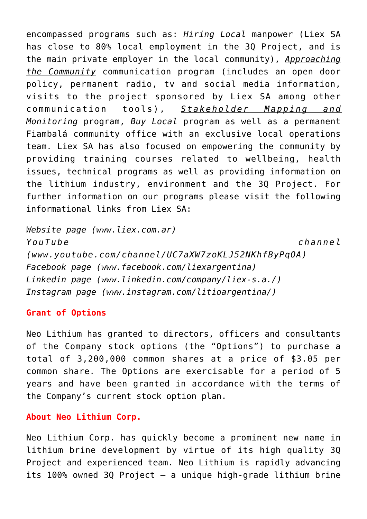encompassed programs such as: *Hiring Local* manpower (Liex SA has close to 80% local employment in the 3Q Project, and is the main private employer in the local community), *Approaching the Community* communication program (includes an open door policy, permanent radio, tv and social media information, visits to the project sponsored by Liex SA among other communication tools), *Stakeholder Mapping and Monitoring* program, *Buy Local* program as well as a permanent Fiambalá community office with an exclusive local operations team. Liex SA has also focused on empowering the community by providing training courses related to wellbeing, health issues, technical programs as well as providing information on the lithium industry, environment and the 3Q Project. For further information on our programs please visit the following informational links from Liex SA:

```
Website page (www.liex.com.ar)
YouTube channel
(www.youtube.com/channel/UC7aXW7zoKLJ52NKhfByPqOA)
Facebook page (www.facebook.com/liexargentina)
Linkedin page (www.linkedin.com/company/liex-s.a./)
Instagram page (www.instagram.com/litioargentina/)
```
#### **Grant of Options**

Neo Lithium has granted to directors, officers and consultants of the Company stock options (the "Options") to purchase a total of 3,200,000 common shares at a price of \$3.05 per common share. The Options are exercisable for a period of 5 years and have been granted in accordance with the terms of the Company's current stock option plan.

#### **About Neo Lithium Corp.**

Neo Lithium Corp. has quickly become a prominent new name in lithium brine development by virtue of its high quality 3Q Project and experienced team. Neo Lithium is rapidly advancing its 100% owned 3Q Project – a unique high-grade lithium brine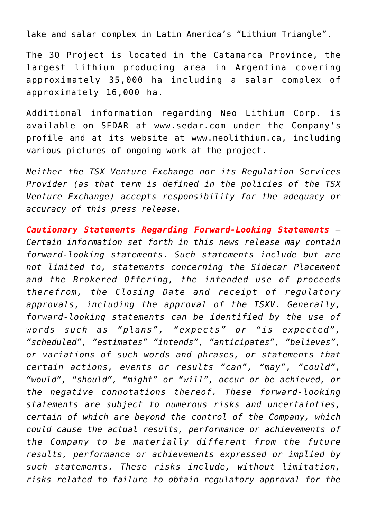lake and salar complex in Latin America's "Lithium Triangle".

The 3Q Project is located in the Catamarca Province, the largest lithium producing area in Argentina covering approximately 35,000 ha including a salar complex of approximately 16,000 ha.

Additional information regarding Neo Lithium Corp. is available on SEDAR at [www.sedar.com](http://www.sedar.com/) under the Company's profile and at its website at [www.neolithium.ca,](http://www.neolithium.ca/) including various pictures of ongoing work at the project.

*Neither the TSX Venture Exchange nor its Regulation Services Provider (as that term is defined in the policies of the TSX Venture Exchange) accepts responsibility for the adequacy or accuracy of this press release.*

*Cautionary Statements Regarding Forward-Looking Statements – Certain information set forth in this news release may contain forward-looking statements. Such statements include but are not limited to, statements concerning the Sidecar Placement and the Brokered Offering, the intended use of proceeds therefrom, the Closing Date and receipt of regulatory approvals, including the approval of the TSXV. Generally, forward-looking statements can be identified by the use of words such as "plans", "expects" or "is expected", "scheduled", "estimates" "intends", "anticipates", "believes", or variations of such words and phrases, or statements that certain actions, events or results "can", "may", "could", "would", "should", "might" or "will", occur or be achieved, or the negative connotations thereof. These forward-looking statements are subject to numerous risks and uncertainties, certain of which are beyond the control of the Company, which could cause the actual results, performance or achievements of the Company to be materially different from the future results, performance or achievements expressed or implied by such statements. These risks include, without limitation, risks related to failure to obtain regulatory approval for the*